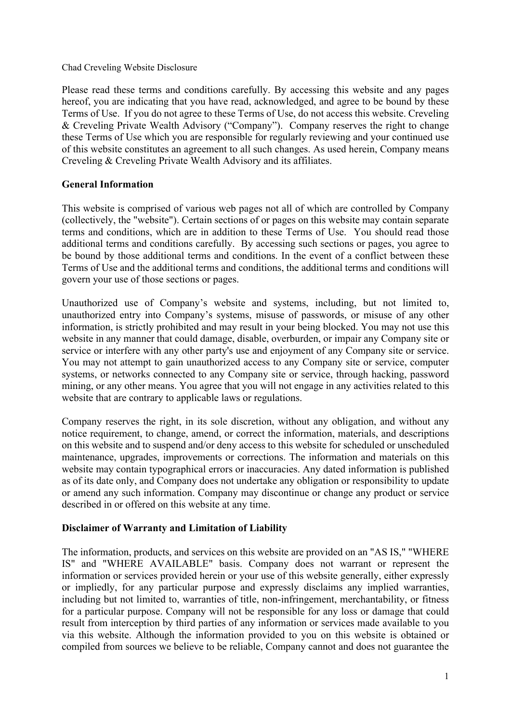#### Chad Creveling Website Disclosure

Please read these terms and conditions carefully. By accessing this website and any pages hereof, you are indicating that you have read, acknowledged, and agree to be bound by these Terms of Use. If you do not agree to these Terms of Use, do not access this website. Creveling & Creveling Private Wealth Advisory ("Company"). Company reserves the right to change these Terms of Use which you are responsible for regularly reviewing and your continued use of this website constitutes an agreement to all such changes. As used herein, Company means Creveling & Creveling Private Wealth Advisory and its affiliates.

## **General Information**

This website is comprised of various web pages not all of which are controlled by Company (collectively, the "website"). Certain sections of or pages on this website may contain separate terms and conditions, which are in addition to these Terms of Use. You should read those additional terms and conditions carefully. By accessing such sections or pages, you agree to be bound by those additional terms and conditions. In the event of a conflict between these Terms of Use and the additional terms and conditions, the additional terms and conditions will govern your use of those sections or pages.

Unauthorized use of Company's website and systems, including, but not limited to, unauthorized entry into Company's systems, misuse of passwords, or misuse of any other information, is strictly prohibited and may result in your being blocked. You may not use this website in any manner that could damage, disable, overburden, or impair any Company site or service or interfere with any other party's use and enjoyment of any Company site or service. You may not attempt to gain unauthorized access to any Company site or service, computer systems, or networks connected to any Company site or service, through hacking, password mining, or any other means. You agree that you will not engage in any activities related to this website that are contrary to applicable laws or regulations.

Company reserves the right, in its sole discretion, without any obligation, and without any notice requirement, to change, amend, or correct the information, materials, and descriptions on this website and to suspend and/or deny access to this website for scheduled or unscheduled maintenance, upgrades, improvements or corrections. The information and materials on this website may contain typographical errors or inaccuracies. Any dated information is published as of its date only, and Company does not undertake any obligation or responsibility to update or amend any such information. Company may discontinue or change any product or service described in or offered on this website at any time.

## **Disclaimer of Warranty and Limitation of Liability**

The information, products, and services on this website are provided on an "AS IS," "WHERE IS" and "WHERE AVAILABLE" basis. Company does not warrant or represent the information or services provided herein or your use of this website generally, either expressly or impliedly, for any particular purpose and expressly disclaims any implied warranties, including but not limited to, warranties of title, non-infringement, merchantability, or fitness for a particular purpose. Company will not be responsible for any loss or damage that could result from interception by third parties of any information or services made available to you via this website. Although the information provided to you on this website is obtained or compiled from sources we believe to be reliable, Company cannot and does not guarantee the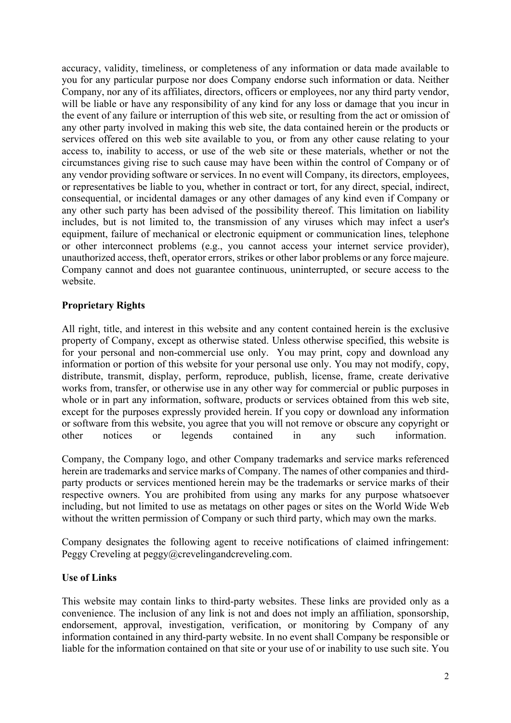accuracy, validity, timeliness, or completeness of any information or data made available to you for any particular purpose nor does Company endorse such information or data. Neither Company, nor any of its affiliates, directors, officers or employees, nor any third party vendor, will be liable or have any responsibility of any kind for any loss or damage that you incur in the event of any failure or interruption of this web site, or resulting from the act or omission of any other party involved in making this web site, the data contained herein or the products or services offered on this web site available to you, or from any other cause relating to your access to, inability to access, or use of the web site or these materials, whether or not the circumstances giving rise to such cause may have been within the control of Company or of any vendor providing software or services. In no event will Company, its directors, employees, or representatives be liable to you, whether in contract or tort, for any direct, special, indirect, consequential, or incidental damages or any other damages of any kind even if Company or any other such party has been advised of the possibility thereof. This limitation on liability includes, but is not limited to, the transmission of any viruses which may infect a user's equipment, failure of mechanical or electronic equipment or communication lines, telephone or other interconnect problems (e.g., you cannot access your internet service provider), unauthorized access, theft, operator errors, strikes or other labor problems or any force majeure. Company cannot and does not guarantee continuous, uninterrupted, or secure access to the website.

# **Proprietary Rights**

All right, title, and interest in this website and any content contained herein is the exclusive property of Company, except as otherwise stated. Unless otherwise specified, this website is for your personal and non-commercial use only. You may print, copy and download any information or portion of this website for your personal use only. You may not modify, copy, distribute, transmit, display, perform, reproduce, publish, license, frame, create derivative works from, transfer, or otherwise use in any other way for commercial or public purposes in whole or in part any information, software, products or services obtained from this web site, except for the purposes expressly provided herein. If you copy or download any information or software from this website, you agree that you will not remove or obscure any copyright or other notices or legends contained in any such information.

Company, the Company logo, and other Company trademarks and service marks referenced herein are trademarks and service marks of Company. The names of other companies and thirdparty products or services mentioned herein may be the trademarks or service marks of their respective owners. You are prohibited from using any marks for any purpose whatsoever including, but not limited to use as metatags on other pages or sites on the World Wide Web without the written permission of Company or such third party, which may own the marks.

Company designates the following agent to receive notifications of claimed infringement: Peggy Creveling at peggy@crevelingandcreveling.com.

## **Use of Links**

This website may contain links to third-party websites. These links are provided only as a convenience. The inclusion of any link is not and does not imply an affiliation, sponsorship, endorsement, approval, investigation, verification, or monitoring by Company of any information contained in any third-party website. In no event shall Company be responsible or liable for the information contained on that site or your use of or inability to use such site. You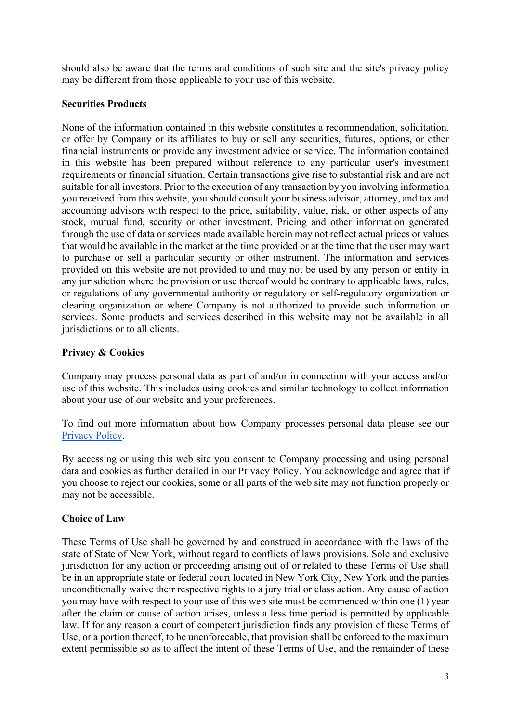should also be aware that the terms and conditions of such site and the site's privacy policy may be different from those applicable to your use of this website.

#### **Securities Products**

None of the information contained in this website constitutes a recommendation, solicitation, or offer by Company or its affiliates to buy or sell any securities, futures, options, or other financial instruments or provide any investment advice or service. The information contained in this website has been prepared without reference to any particular user's investment requirements or financial situation. Certain transactions give rise to substantial risk and are not suitable for all investors. Prior to the execution of any transaction by you involving information you received from this website, you should consult your business advisor, attorney, and tax and accounting advisors with respect to the price, suitability, value, risk, or other aspects of any stock, mutual fund, security or other investment. Pricing and other information generated through the use of data or services made available herein may not reflect actual prices or values that would be available in the market at the time provided or at the time that the user may want to purchase or sell a particular security or other instrument. The information and services provided on this website are not provided to and may not be used by any person or entity in any jurisdiction where the provision or use thereof would be contrary to applicable laws, rules, or regulations of any governmental authority or regulatory or self-regulatory organization or clearing organization or where Company is not authorized to provide such information or services. Some products and services described in this website may not be available in all jurisdictions or to all clients.

## **Privacy & Cookies**

Company may process personal data as part of and/or in connection with your access and/or use of this website. This includes using cookies and similar technology to collect information about your use of our website and your preferences.

To find out more information about how Company processes personal data please see our [Privacy Policy.](https://www.crevelingandcreveling.com/privacy-policy)

By accessing or using this web site you consent to Company processing and using personal data and cookies as further detailed in our Privacy Policy. You acknowledge and agree that if you choose to reject our cookies, some or all parts of the web site may not function properly or may not be accessible.

## **Choice of Law**

These Terms of Use shall be governed by and construed in accordance with the laws of the state of State of New York, without regard to conflicts of laws provisions. Sole and exclusive jurisdiction for any action or proceeding arising out of or related to these Terms of Use shall be in an appropriate state or federal court located in New York City, New York and the parties unconditionally waive their respective rights to a jury trial or class action. Any cause of action you may have with respect to your use of this web site must be commenced within one (1) year after the claim or cause of action arises, unless a less time period is permitted by applicable law. If for any reason a court of competent jurisdiction finds any provision of these Terms of Use, or a portion thereof, to be unenforceable, that provision shall be enforced to the maximum extent permissible so as to affect the intent of these Terms of Use, and the remainder of these